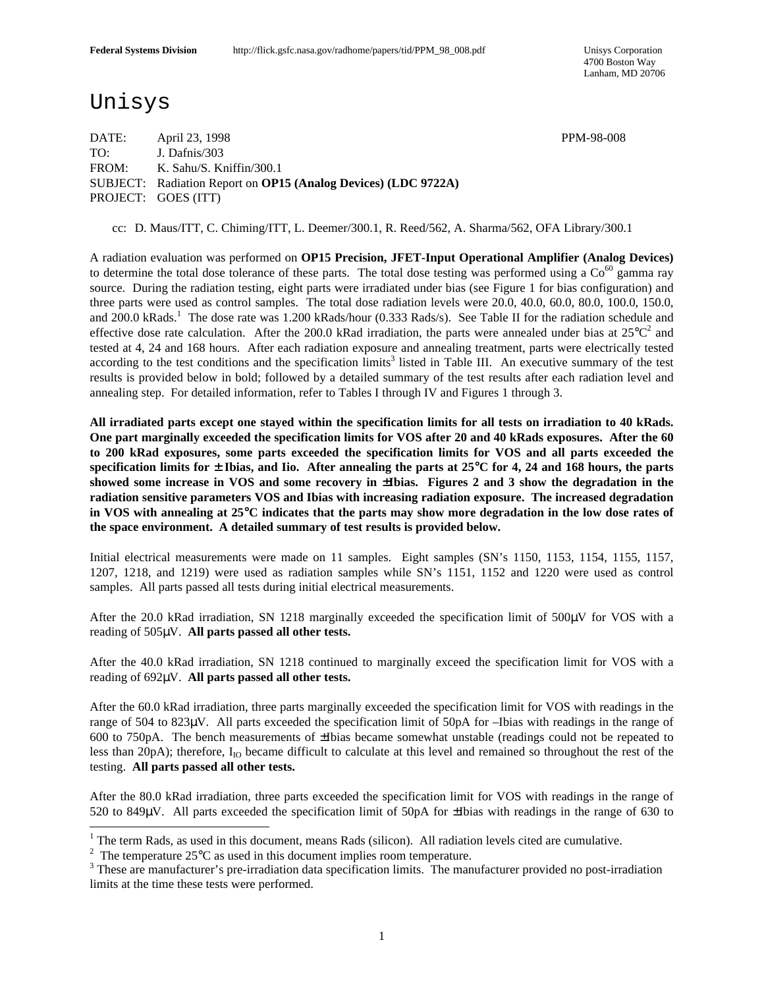# Unisys

DATE: April 23, 1998 PPM-98-008 TO: J. Dafnis/303 FROM: K. Sahu/S. Kniffin/300.1 SUBJECT: Radiation Report on **OP15 (Analog Devices) (LDC 9722A)** PROJECT: GOES (ITT)

cc: D. Maus/ITT, C. Chiming/ITT, L. Deemer/300.1, R. Reed/562, A. Sharma/562, OFA Library/300.1

A radiation evaluation was performed on **OP15 Precision, JFET-Input Operational Amplifier (Analog Devices)** to determine the total dose tolerance of these parts. The total dose testing was performed using a  $\text{Co}^{60}$  gamma ray source. During the radiation testing, eight parts were irradiated under bias (see Figure 1 for bias configuration) and three parts were used as control samples. The total dose radiation levels were 20.0, 40.0, 60.0, 80.0, 100.0, 150.0, and 200.0 kRads.<sup>1</sup> The dose rate was 1.200 kRads/hour (0.333 Rads/s). See Table II for the radiation schedule and effective dose rate calculation. After the 200.0 kRad irradiation, the parts were annealed under bias at  $25^{\circ}C^2$  and tested at 4, 24 and 168 hours. After each radiation exposure and annealing treatment, parts were electrically tested according to the test conditions and the specification limits<sup>3</sup> listed in Table III. An executive summary of the test results is provided below in bold; followed by a detailed summary of the test results after each radiation level and annealing step. For detailed information, refer to Tables I through IV and Figures 1 through 3.

**All irradiated parts except one stayed within the specification limits for all tests on irradiation to 40 kRads. One part marginally exceeded the specification limits for VOS after 20 and 40 kRads exposures. After the 60 to 200 kRad exposures, some parts exceeded the specification limits for VOS and all parts exceeded the specification limits for** ± **Ibias, and Iio. After annealing the parts at 25**°**C for 4, 24 and 168 hours, the parts showed some increase in VOS and some recovery in** ±**Ibias. Figures 2 and 3 show the degradation in the radiation sensitive parameters VOS and Ibias with increasing radiation exposure. The increased degradation in VOS with annealing at 25**°**C indicates that the parts may show more degradation in the low dose rates of the space environment. A detailed summary of test results is provided below.**

Initial electrical measurements were made on 11 samples. Eight samples (SN's 1150, 1153, 1154, 1155, 1157, 1207, 1218, and 1219) were used as radiation samples while SN's 1151, 1152 and 1220 were used as control samples. All parts passed all tests during initial electrical measurements.

After the 20.0 kRad irradiation, SN 1218 marginally exceeded the specification limit of 500μV for VOS with a reading of 505μV. **All parts passed all other tests.**

After the 40.0 kRad irradiation, SN 1218 continued to marginally exceed the specification limit for VOS with a reading of 692μV. **All parts passed all other tests.**

After the 60.0 kRad irradiation, three parts marginally exceeded the specification limit for VOS with readings in the range of 504 to 823μV. All parts exceeded the specification limit of 50pA for –Ibias with readings in the range of 600 to 750pA. The bench measurements of ±Ibias became somewhat unstable (readings could not be repeated to less than 20pA); therefore,  $I_{IO}$  became difficult to calculate at this level and remained so throughout the rest of the testing. **All parts passed all other tests.**

After the 80.0 kRad irradiation, three parts exceeded the specification limit for VOS with readings in the range of 520 to 849μV. All parts exceeded the specification limit of 50pA for ±Ibias with readings in the range of 630 to

<sup>&</sup>lt;sup>1</sup> The term Rads, as used in this document, means Rads (silicon). All radiation levels cited are cumulative.

<sup>&</sup>lt;sup>2</sup> The temperature 25 $\degree$ C as used in this document implies room temperature.

<sup>&</sup>lt;sup>3</sup> These are manufacturer's pre-irradiation data specification limits. The manufacturer provided no post-irradiation limits at the time these tests were performed.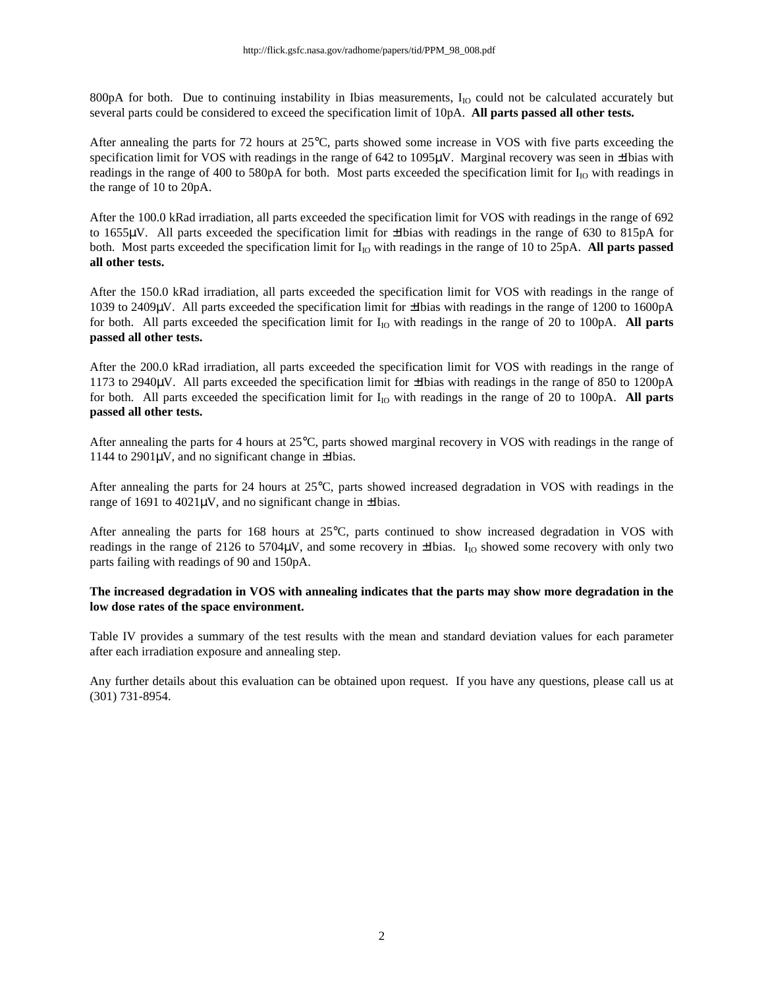800pA for both. Due to continuing instability in Ibias measurements,  $I_{IO}$  could not be calculated accurately but several parts could be considered to exceed the specification limit of 10pA. **All parts passed all other tests.**

After annealing the parts for 72 hours at 25°C, parts showed some increase in VOS with five parts exceeding the specification limit for VOS with readings in the range of 642 to 1095μV. Marginal recovery was seen in ±Ibias with readings in the range of 400 to 580pA for both. Most parts exceeded the specification limit for  $I_{IO}$  with readings in the range of 10 to 20pA.

After the 100.0 kRad irradiation, all parts exceeded the specification limit for VOS with readings in the range of 692 to 1655μV. All parts exceeded the specification limit for ±Ibias with readings in the range of 630 to 815pA for both. Most parts exceeded the specification limit for I<sub>IO</sub> with readings in the range of 10 to 25pA. **All parts passed all other tests.**

After the 150.0 kRad irradiation, all parts exceeded the specification limit for VOS with readings in the range of 1039 to 2409μV. All parts exceeded the specification limit for ±Ibias with readings in the range of 1200 to 1600pA for both. All parts exceeded the specification limit for  $I_{10}$  with readings in the range of 20 to 100pA. All parts **passed all other tests.**

After the 200.0 kRad irradiation, all parts exceeded the specification limit for VOS with readings in the range of 1173 to 2940μV. All parts exceeded the specification limit for ±Ibias with readings in the range of 850 to 1200pA for both. All parts exceeded the specification limit for  $I_{IO}$  with readings in the range of 20 to 100pA. All parts **passed all other tests.**

After annealing the parts for 4 hours at 25°C, parts showed marginal recovery in VOS with readings in the range of  $1144$  to  $2901\mu$ V, and no significant change in  $\pm$ Ibias.

After annealing the parts for 24 hours at 25°C, parts showed increased degradation in VOS with readings in the range of 1691 to 4021μV, and no significant change in ±Ibias.

After annealing the parts for 168 hours at 25°C, parts continued to show increased degradation in VOS with readings in the range of 2126 to 5704 $\mu$ V, and some recovery in  $\pm$ Ibias. I<sub>IO</sub> showed some recovery with only two parts failing with readings of 90 and 150pA.

#### **The increased degradation in VOS with annealing indicates that the parts may show more degradation in the low dose rates of the space environment.**

Table IV provides a summary of the test results with the mean and standard deviation values for each parameter after each irradiation exposure and annealing step.

Any further details about this evaluation can be obtained upon request. If you have any questions, please call us at (301) 731-8954.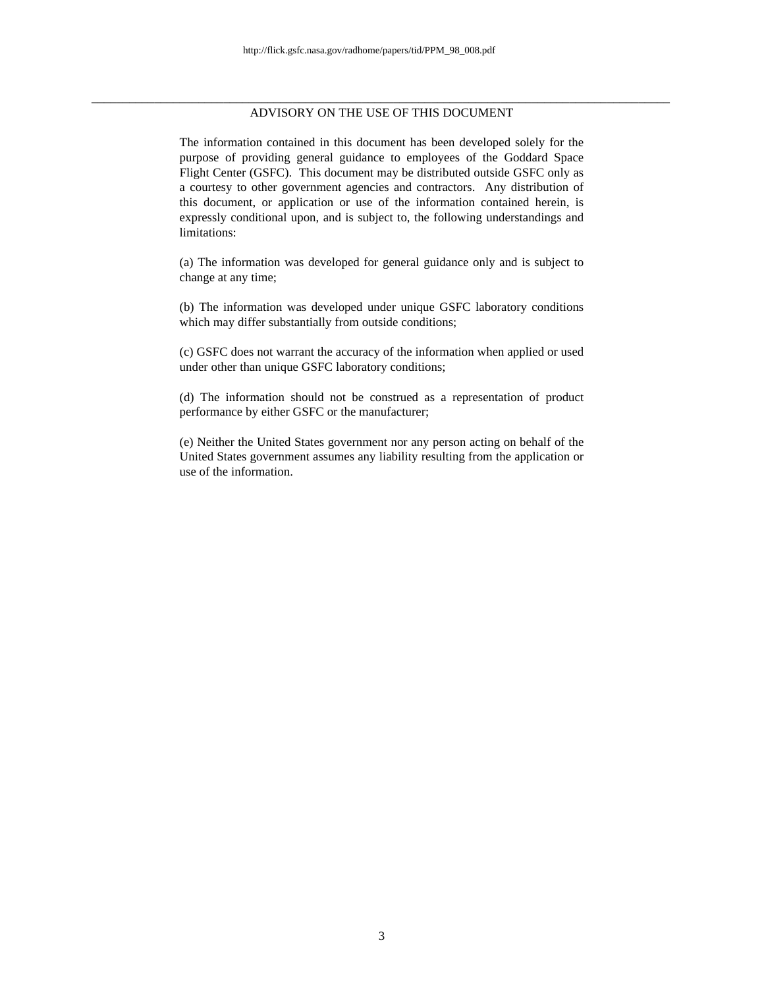#### \_\_\_\_\_\_\_\_\_\_\_\_\_\_\_\_\_\_\_\_\_\_\_\_\_\_\_\_\_\_\_\_\_\_\_\_\_\_\_\_\_\_\_\_\_\_\_\_\_\_\_\_\_\_\_\_\_\_\_\_\_\_\_\_\_\_\_\_\_\_\_\_\_\_\_\_\_\_\_\_\_\_\_\_\_\_\_\_\_\_\_\_ ADVISORY ON THE USE OF THIS DOCUMENT

The information contained in this document has been developed solely for the purpose of providing general guidance to employees of the Goddard Space Flight Center (GSFC). This document may be distributed outside GSFC only as a courtesy to other government agencies and contractors. Any distribution of this document, or application or use of the information contained herein, is expressly conditional upon, and is subject to, the following understandings and limitations:

(a) The information was developed for general guidance only and is subject to change at any time;

(b) The information was developed under unique GSFC laboratory conditions which may differ substantially from outside conditions;

(c) GSFC does not warrant the accuracy of the information when applied or used under other than unique GSFC laboratory conditions;

(d) The information should not be construed as a representation of product performance by either GSFC or the manufacturer;

(e) Neither the United States government nor any person acting on behalf of the United States government assumes any liability resulting from the application or use of the information.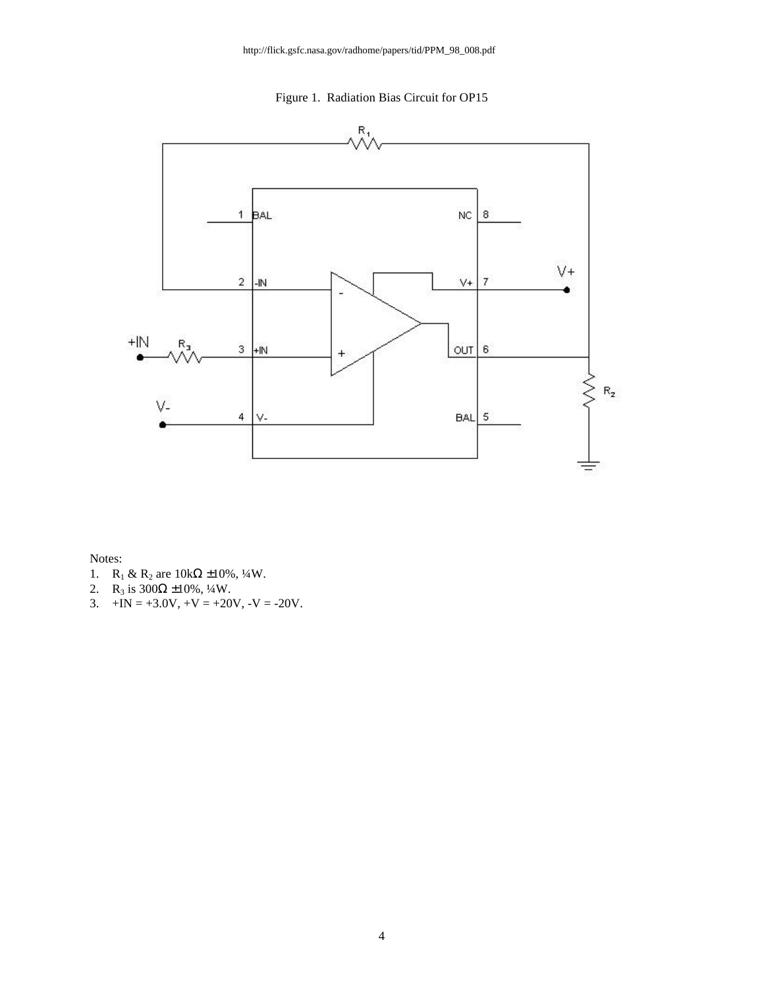Figure 1. Radiation Bias Circuit for OP15



Notes:

- 1. R<sub>1</sub> & R<sub>2</sub> are  $10kΩ ±10%, ½W$ .
- 2. R<sub>3</sub> is  $300\Omega \pm 10\%$ , <sup>1</sup>/<sub>4</sub>W.
- 3.  $+IN = +3.0V, +V = +20V, -V = -20V.$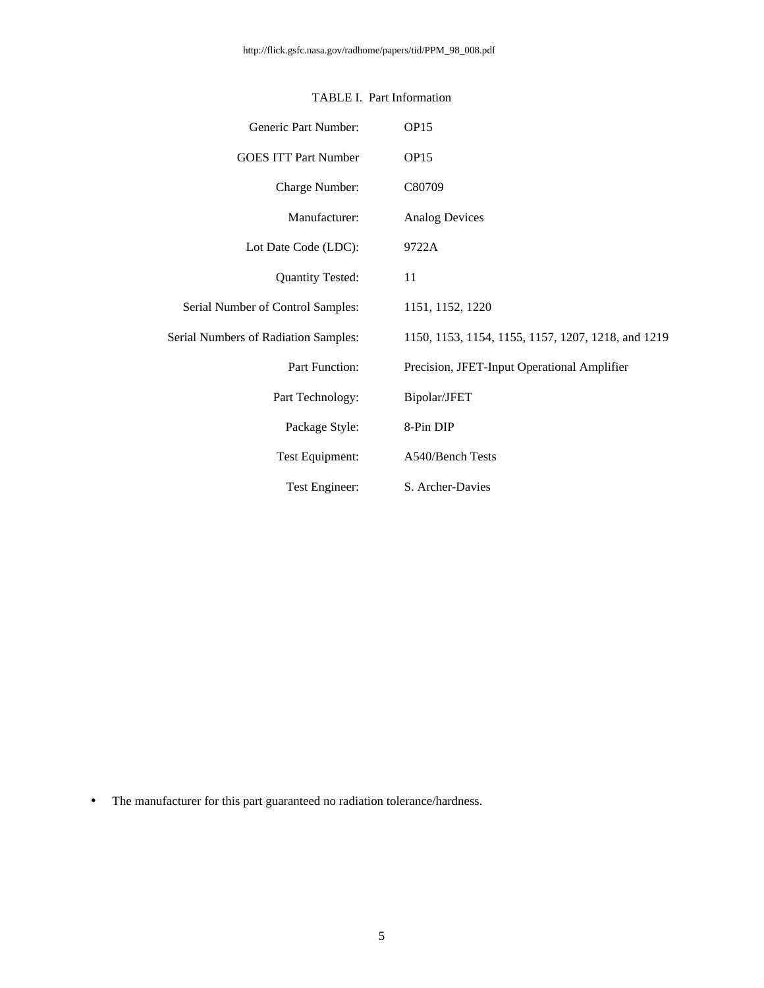| Generic Part Number:                        | OP <sub>15</sub>                                   |
|---------------------------------------------|----------------------------------------------------|
| <b>GOES ITT Part Number</b>                 | OP <sub>15</sub>                                   |
| Charge Number:                              | C80709                                             |
| Manufacturer:                               | <b>Analog Devices</b>                              |
| Lot Date Code (LDC):                        | 9722A                                              |
| <b>Quantity Tested:</b>                     | 11                                                 |
| Serial Number of Control Samples:           | 1151, 1152, 1220                                   |
| <b>Serial Numbers of Radiation Samples:</b> | 1150, 1153, 1154, 1155, 1157, 1207, 1218, and 1219 |
| Part Function:                              | Precision, JFET-Input Operational Amplifier        |
| Part Technology:                            | Bipolar/JFET                                       |
| Package Style:                              | 8-Pin DIP                                          |
| Test Equipment:                             | A540/Bench Tests                                   |
| Test Engineer:                              | S. Archer-Davies                                   |

## TABLE I. Part Information

• The manufacturer for this part guaranteed no radiation tolerance/hardness.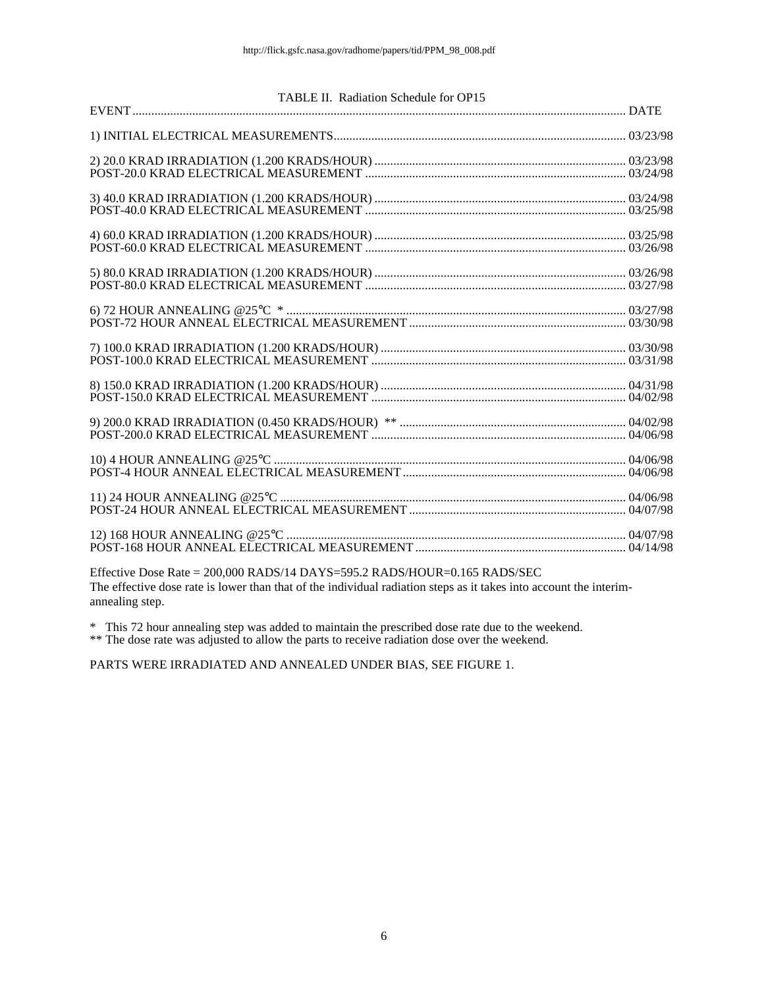#### TABLE II. Radiation Schedule for OP15

Effective Dose Rate = 200,000 RADS/14 DAYS=595.2 RADS/HOUR=0.165 RADS/SEC The effective dose rate is lower than that of the individual radiation steps as it takes into account the interimannealing step.

\* This 72 hour annealing step was added to maintain the prescribed dose rate due to the weekend.

\*\* The dose rate was adjusted to allow the parts to receive radiation dose over the weekend.

PARTS WERE IRRADIATED AND ANNEALED UNDER BIAS, SEE FIGURE 1.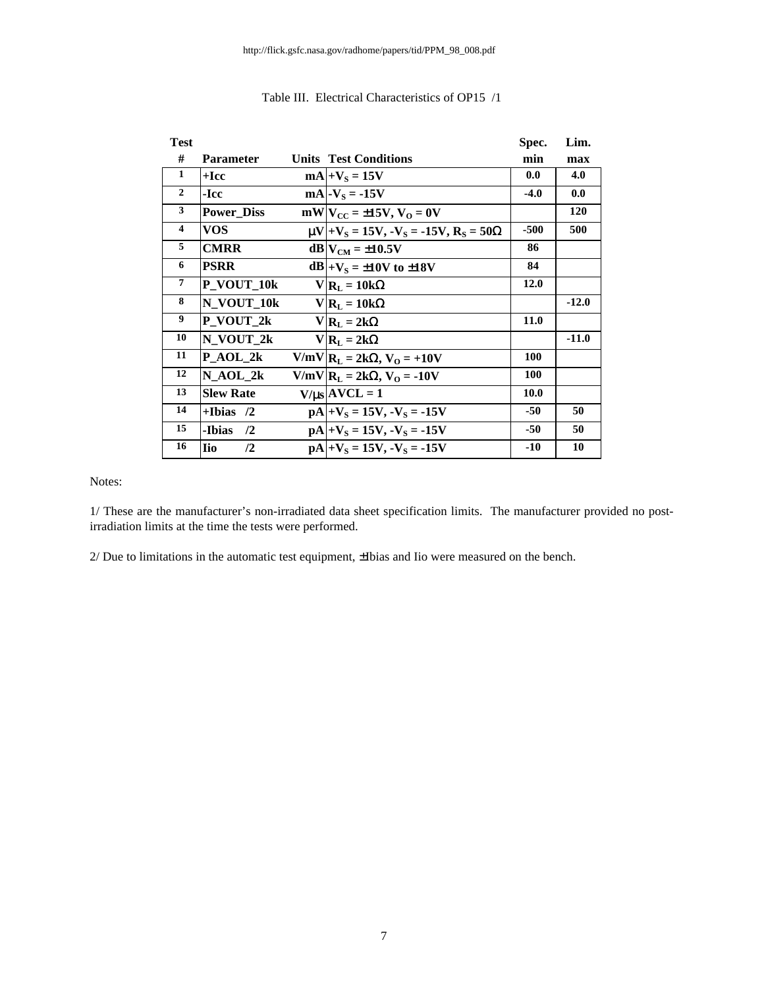| <b>Test</b>             |                              |                                                        | Spec.       | Lim.       |
|-------------------------|------------------------------|--------------------------------------------------------|-------------|------------|
| #                       | <b>Parameter</b>             | <b>Units Test Conditions</b>                           | min         | max        |
| 1                       | $+$ Icc                      | $mA$ + $V_s$ = 15V                                     | 0.0         | 4.0        |
| $\overline{2}$          | -Icc                         | $mA$ - $V_s$ = -15V                                    | $-4.0$      | 0.0        |
| $\mathbf{3}$            | <b>Power_Diss</b>            | $mW V_{CC} = \pm 15V, V_0 = 0V$                        |             | <b>120</b> |
| $\overline{\mathbf{4}}$ | <b>VOS</b>                   | $\mu V + V_s = 15V$ , $-V_s = -15V$ , $R_s = 50\Omega$ | $-500$      | 500        |
| 5                       | <b>CMRR</b>                  | $dB$ $V_{CM}$ = ±10.5V                                 | 86          |            |
| 6                       | <b>PSRR</b>                  | $dB +VS = \pm 10V$ to $\pm 18V$                        | 84          |            |
| $\overline{7}$          | P_VOUT_10k                   | $V R_L = 10k\Omega$                                    | 12.0        |            |
| 8                       | N_VOUT_10k                   | $V R_L = 10k\Omega$                                    |             | $-12.0$    |
| 9                       | P_VOUT_2k                    | $V R_L = 2k\Omega$                                     | 11.0        |            |
| 10                      | N_VOUT_2k                    | $V R_L = 2k\Omega$                                     |             | $-11.0$    |
| 11                      | $P_AOL_2k$                   | $V/mV$ $R_L = 2k\Omega$ , $V_O = +10V$                 | <b>100</b>  |            |
| 12                      | $N_AOL_2k$                   | $V/mV$ $R_L = 2k\Omega$ , $V_O = -10V$                 | <b>100</b>  |            |
| 13                      | <b>Slew Rate</b>             | $V/\mu s$ AVCL = 1                                     | <b>10.0</b> |            |
| 14                      | $+$ Ibias $/2$               | $pA +V_s = 15V, -V_s = -15V$                           | $-50$       | 50         |
| 15                      | -Ibias<br>$\sqrt{2}$         | $pA +V_s = 15V, -V_s = -15V$                           | $-50$       | 50         |
| 16                      | <b>I</b> io<br>$\mathbf{12}$ | $pA +V_s = 15V, -V_s = -15V$                           | $-10$       | 10         |

## Table III. Electrical Characteristics of OP15 /1

Notes:

1/ These are the manufacturer's non-irradiated data sheet specification limits. The manufacturer provided no postirradiation limits at the time the tests were performed.

2/ Due to limitations in the automatic test equipment, ±Ibias and Iio were measured on the bench.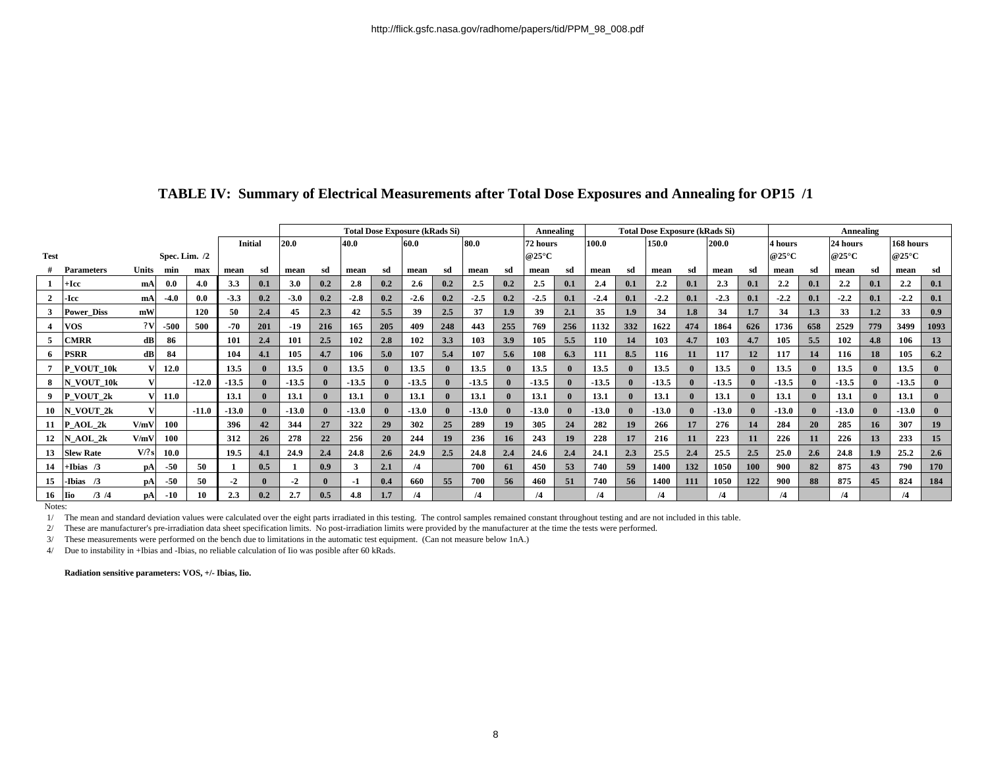|             |                       |              |                 |         |                |     | <b>Total Dose Exposure (kRads Si)</b> |              |         |              |         |              |            |              |                          | Annealing | <b>Total Dose Exposure (kRads Si)</b> |                  |         |       |                          |         | Annealing                |              |                     |           |         |              |  |
|-------------|-----------------------|--------------|-----------------|---------|----------------|-----|---------------------------------------|--------------|---------|--------------|---------|--------------|------------|--------------|--------------------------|-----------|---------------------------------------|------------------|---------|-------|--------------------------|---------|--------------------------|--------------|---------------------|-----------|---------|--------------|--|
|             |                       |              |                 |         | <b>Initial</b> |     | 20.0                                  |              | 40.0    |              | 60.0    |              | 80.0       |              | 72 hours                 |           | 100.0                                 | 150.0            |         | 200.0 |                          | 4 hours |                          | 24 hours     |                     | 168 hours |         |              |  |
| <b>Test</b> |                       |              | Spec. Lim. $/2$ |         |                |     |                                       |              |         |              |         |              |            |              | @25 $\mathrm{^{\circ}C}$ |           |                                       |                  |         |       | @25 $\mathrm{^{\circ}C}$ |         | @25 $\mathrm{^{\circ}C}$ |              | @25 $\rm ^{\circ}C$ |           |         |              |  |
|             | <b>Parameters</b>     | <b>Units</b> | min             | max     | mean           | sd  | mean                                  | sd           | mean    | sd           | mean    | sd           | mean       | sd           | mean                     | sd        | mean                                  | sd               | mean    | sd    | mean                     | sd      | mean                     | sd           | mean                | sd        | mean    | sd           |  |
|             | ⊦Icc                  | mA           | 0.0             | 4.0     | 3.3            | 0.1 | 3.0                                   | 0.2          | 2.8     | 0.2          | 2.6     | 0.2          | 2.5        | 0.2          | 2.5                      | 0.1       | 2.4                                   | 0.1              | 2.2     | 0.1   | 2.3                      | 0.1     | 2.2                      | 0.1          | $2.2^{\circ}$       | 0.1       | 2.2     | 0.1          |  |
|             | ·Icc                  | mA           | $-4.0$          | 0.0     | $-3.3$         | 0.2 | $-3.0$                                | 0.2          | $-2.8$  | 0.2          | $-2.6$  | 0.2          | $-2.5$     | 0.2          | $-2.5$                   | 0.1       | $-2.4$                                | 0.1              | $-2.2$  | 0.1   | $-2.3$                   | 0.1     | $-2.2$                   | 0.1          | $-2.2$              | 0.1       | $-2.2$  | 0.1          |  |
|             | <b>Power Diss</b>     | mW           |                 | 120     | 50             | 2.4 | 45                                    | 2.3          | 42      | 5.5          | 39      | 2.5          | 37         | 1.9          | 39                       | 2.1       | 35                                    | 1.9 <sup>2</sup> | 34      | 1.8   | 34                       | 1.7     | 34                       | 1.3          | 33                  | 1.2       | 33      | 0.9          |  |
|             | <b>VOS</b>            | 2V           | $-500$          | 500     | $-70$          | 201 | $-19$                                 | 216          | 165     | 205          | 409     | 248          | 443        | 255          | 769                      | 256       | 1132                                  | 332              | 1622    | 474   | 1864                     | 626     | 1736                     | 658          | 2529                | 779       | 3499    | 1093         |  |
|             | <b>CMRR</b>           | dB           | 86              |         | 101            | 2.4 | 101                                   | 2.5          | 102     | 2.8          | 102     | 3.3          | 103        | 3.9          | 105                      | 5.5       | 110                                   | 14               | 103     | 4.7   | 103                      | 4.7     | 105                      | 5.5          | 102                 | 4.8       | 106     | 13           |  |
|             | <b>PSRR</b>           | dB           | 84              |         | 104            | 4.1 | 105                                   | 4.7          | 106     | 5.0          | 107     | 5.4          | 107        | 5.6          | 108                      | 6.3       | 111                                   | 8.5              | 116     | 11    | 117                      | 12      | 117                      | 14           | 116                 | 18        | 105     | 6.2          |  |
|             | P VOUT 10k            |              | 12.0            |         | 13.5           |     | 13.5                                  |              | 13.5    |              | 13.5    |              | 13.5       |              | 13.5                     |           | 13.5                                  |                  | 13.5    |       | 13.5                     |         | 13.5                     |              | 13.5                |           | 13.5    |              |  |
| 8           | N VOUT 10k            |              |                 | $-12.0$ | $-13.5$        |     | $-13.5$                               |              | $-13.5$ | $\mathbf{0}$ | $-13.5$ | $\mathbf{0}$ | $-13.5$    | $\mathbf{0}$ | $-13.5$                  |           | $-13.5$                               |                  | $-13.5$ |       | $-13.5$                  |         | $-13.5$                  |              | $-13.5$             |           | $-13.5$ |              |  |
| 9           | P VOUT 2k             |              | 11.0            |         | 13.1           |     | 13.1                                  | $\mathbf{0}$ | 13.1    | $\mathbf{0}$ | 13.1    | $\mathbf{0}$ | 13.1       | $\mathbf{0}$ | 13.1                     |           | 13.1                                  |                  | 13.1    |       | 13.1                     |         | 13.1                     | $\mathbf{0}$ | 13.1                |           | 13.1    | $\mathbf{0}$ |  |
| 10          | N VOUT 2k             |              |                 | $-11.0$ | $-13.0$        |     | $-13.0$                               |              | $-13.0$ | $\mathbf{0}$ | $-13.0$ | $\mathbf{0}$ | $-13.0$    | $\theta$     | $-13.0$                  |           | $-13.0$                               |                  | $-13.0$ |       | $-13.0$                  |         | $-13.0$                  |              | $-13.0$             |           | $-13.0$ | $\mathbf{0}$ |  |
| 11          | P AOL 2k              | V/mV         | 100             |         | 396            | 42  | 344                                   | 27           | 322     | 29           | 302     | 25           | 289        | 19           | 305                      | 24        | 282                                   | 19               | 266     | 17    | 276                      | 14      | 284                      | 20           | 285                 | 16        | 307     | 19           |  |
| 12          | N AOL 2k              | V/mV         | 100             |         | 312            | 26  | 278                                   | 22           | 256     | <b>20</b>    | 244     | 19           | 236        | 16           | 243                      | 19        | 228                                   | 17               | 216     | 11    | 223                      | 11      | 226                      | 11           | 226                 | 13        | 233     | 15           |  |
| 13          | <b>Slew Rate</b>      | V/?s         | 10.0            |         | 19.5           | 4.1 | 24.9                                  | 2.4          | 24.8    | 2.6          | 24.9    | 2.5          | 24.8       | 2.4          | 24.6                     | 2.4       | 24.1                                  | 2.3              | 25.5    | 2.4   | 25.5                     | 2.5     | 25.0                     | 2.6          | 24.8                | 1.9       | 25.2    | 2.6          |  |
| 14          | Hbias /3              | pA           | $-50$           | 50      |                | 0.5 |                                       | 0.9          | 3       | 2.1          | /4      |              | 700        | 61           | 450                      | 53        | 740                                   | 59               | 1400    | 132   | 1050                     | 100     | 900                      | 82           | 875                 | 43        | 790     | 170          |  |
| 15          | -Ibias /3             | pA           | $-50$           | 50      | $-2$           |     | $-2$                                  |              | -1      | 0.4          | 660     | 55           | 700        | 56           | 460                      | 51        | 740                                   | 56               | 1400    | 111   | 1050                     | 122     | 900                      | 88           | 875                 | 45        | 824     | 184          |  |
| 16          | /3 / 4<br><b>I</b> io | pA           | $-10$           | 10      | 2.3            | 0.2 | 2.7                                   | 0.5          | 4.8     |              | /4      |              | $\sqrt{4}$ |              | /4                       |           | /4                                    |                  | /4      |       | /4                       |         | /4                       |              | /4                  |           | /4      |              |  |

# **TABLE IV: Summary of Electrical Measurements after Total Dose Exposures and Annealing for OP15 /1**

Notes:

1/ The mean and standard deviation values were calculated over the eight parts irradiated in this testing. The control samples remained constant throughout testing and are not included in this table.

2/ These are manufacturer's pre-irradiation data sheet specification limits. No post-irradiation limits were provided by the manufacturer at the time the tests were performed.

3/ These measurements were performed on the bench due to limitations in the automatic test equipment. (Can not measure below 1nA.)

4/ Due to instability in +Ibias and -Ibias, no reliable calculation of Iio was posible after 60 kRads.

**Radiation sensitive parameters: VOS, +/- Ibias, Iio.**